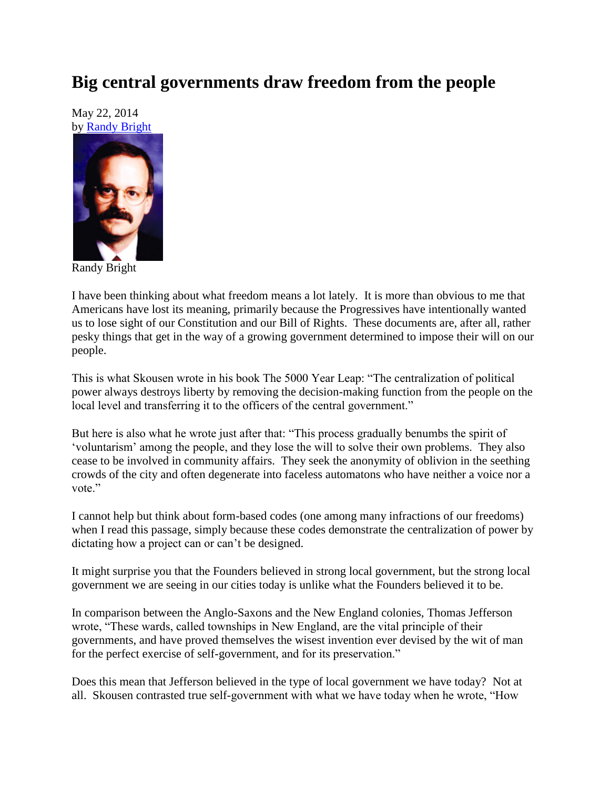## **Big central governments draw freedom from the people**

May 22, 2014 by [Randy Bright](http://tulsabeacon.com/writers/randy-bright/)



Randy Bright

I have been thinking about what freedom means a lot lately. It is more than obvious to me that Americans have lost its meaning, primarily because the Progressives have intentionally wanted us to lose sight of our Constitution and our Bill of Rights. These documents are, after all, rather pesky things that get in the way of a growing government determined to impose their will on our people.

This is what Skousen wrote in his book The 5000 Year Leap: "The centralization of political power always destroys liberty by removing the decision-making function from the people on the local level and transferring it to the officers of the central government."

But here is also what he wrote just after that: "This process gradually benumbs the spirit of "voluntarism" among the people, and they lose the will to solve their own problems. They also cease to be involved in community affairs. They seek the anonymity of oblivion in the seething crowds of the city and often degenerate into faceless automatons who have neither a voice nor a vote."

I cannot help but think about form-based codes (one among many infractions of our freedoms) when I read this passage, simply because these codes demonstrate the centralization of power by dictating how a project can or can't be designed.

It might surprise you that the Founders believed in strong local government, but the strong local government we are seeing in our cities today is unlike what the Founders believed it to be.

In comparison between the Anglo-Saxons and the New England colonies, Thomas Jefferson wrote, "These wards, called townships in New England, are the vital principle of their governments, and have proved themselves the wisest invention ever devised by the wit of man for the perfect exercise of self-government, and for its preservation."

Does this mean that Jefferson believed in the type of local government we have today? Not at all. Skousen contrasted true self-government with what we have today when he wrote, "How